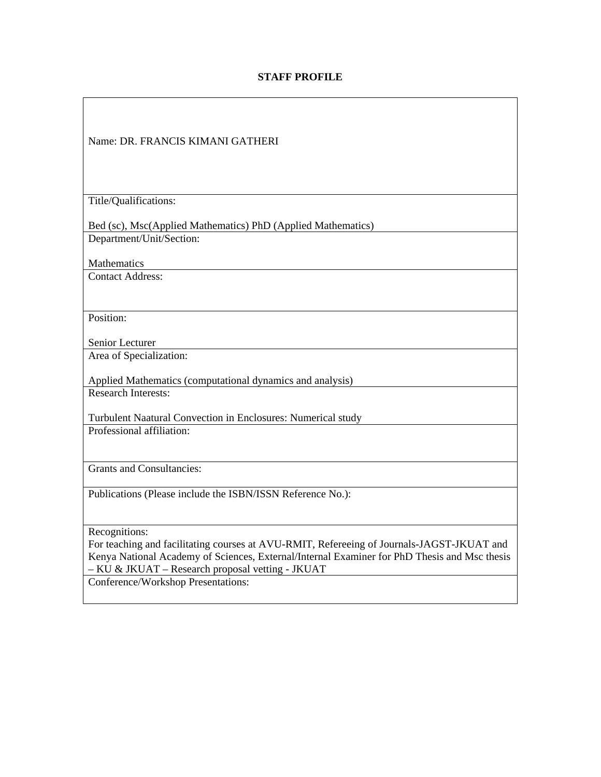## **STAFF PROFILE**

| Name: DR. FRANCIS KIMANI GATHERI                                                             |
|----------------------------------------------------------------------------------------------|
| Title/Qualifications:                                                                        |
|                                                                                              |
| Bed (sc), Msc(Applied Mathematics) PhD (Applied Mathematics)                                 |
| Department/Unit/Section:                                                                     |
|                                                                                              |
| <b>Mathematics</b>                                                                           |
| <b>Contact Address:</b>                                                                      |
|                                                                                              |
|                                                                                              |
| Position:                                                                                    |
|                                                                                              |
| Senior Lecturer                                                                              |
| Area of Specialization:                                                                      |
|                                                                                              |
| Applied Mathematics (computational dynamics and analysis)                                    |
| <b>Research Interests:</b>                                                                   |
|                                                                                              |
| Turbulent Naatural Convection in Enclosures: Numerical study                                 |
| Professional affiliation:                                                                    |
|                                                                                              |
| <b>Grants and Consultancies:</b>                                                             |
|                                                                                              |
| Publications (Please include the ISBN/ISSN Reference No.):                                   |
|                                                                                              |
|                                                                                              |
| Recognitions:                                                                                |
| For teaching and facilitating courses at AVU-RMIT, Refereeing of Journals-JAGST-JKUAT and    |
| Kenya National Academy of Sciences, External/Internal Examiner for PhD Thesis and Msc thesis |
| - KU & JKUAT - Research proposal vetting - JKUAT                                             |
| Conference/Workshop Presentations:                                                           |
|                                                                                              |
|                                                                                              |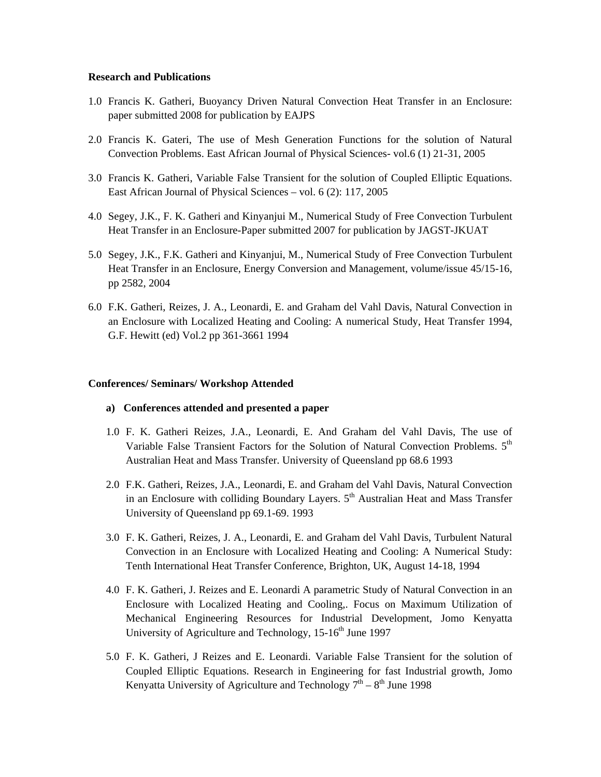## **Research and Publications**

- 1.0 Francis K. Gatheri, Buoyancy Driven Natural Convection Heat Transfer in an Enclosure: paper submitted 2008 for publication by EAJPS
- 2.0 Francis K. Gateri, The use of Mesh Generation Functions for the solution of Natural Convection Problems. East African Journal of Physical Sciences- vol.6 (1) 21-31, 2005
- 3.0 Francis K. Gatheri, Variable False Transient for the solution of Coupled Elliptic Equations. East African Journal of Physical Sciences – vol. 6 (2): 117, 2005
- 4.0 Segey, J.K., F. K. Gatheri and Kinyanjui M., Numerical Study of Free Convection Turbulent Heat Transfer in an Enclosure-Paper submitted 2007 for publication by JAGST-JKUAT
- 5.0 Segey, J.K., F.K. Gatheri and Kinyanjui, M., Numerical Study of Free Convection Turbulent Heat Transfer in an Enclosure, Energy Conversion and Management, volume/issue 45/15-16, pp 2582, 2004
- 6.0 F.K. Gatheri, Reizes, J. A., Leonardi, E. and Graham del Vahl Davis, Natural Convection in an Enclosure with Localized Heating and Cooling: A numerical Study, Heat Transfer 1994, G.F. Hewitt (ed) Vol.2 pp 361-3661 1994

## **Conferences/ Seminars/ Workshop Attended**

- **a) Conferences attended and presented a paper**
- 1.0 F. K. Gatheri Reizes, J.A., Leonardi, E. And Graham del Vahl Davis, The use of Variable False Transient Factors for the Solution of Natural Convection Problems.  $5<sup>th</sup>$ Australian Heat and Mass Transfer. University of Queensland pp 68.6 1993
- 2.0 F.K. Gatheri, Reizes, J.A., Leonardi, E. and Graham del Vahl Davis, Natural Convection in an Enclosure with colliding Boundary Layers.  $5<sup>th</sup>$  Australian Heat and Mass Transfer University of Queensland pp 69.1-69. 1993
- 3.0 F. K. Gatheri, Reizes, J. A., Leonardi, E. and Graham del Vahl Davis, Turbulent Natural Convection in an Enclosure with Localized Heating and Cooling: A Numerical Study: Tenth International Heat Transfer Conference, Brighton, UK, August 14-18, 1994
- 4.0 F. K. Gatheri, J. Reizes and E. Leonardi A parametric Study of Natural Convection in an Enclosure with Localized Heating and Cooling,. Focus on Maximum Utilization of Mechanical Engineering Resources for Industrial Development, Jomo Kenyatta University of Agriculture and Technology,  $15{\text -}16^{\text{th}}$  June 1997
- 5.0 F. K. Gatheri, J Reizes and E. Leonardi. Variable False Transient for the solution of Coupled Elliptic Equations. Research in Engineering for fast Industrial growth, Jomo Kenyatta University of Agriculture and Technology  $7<sup>th</sup> - 8<sup>th</sup>$  June 1998